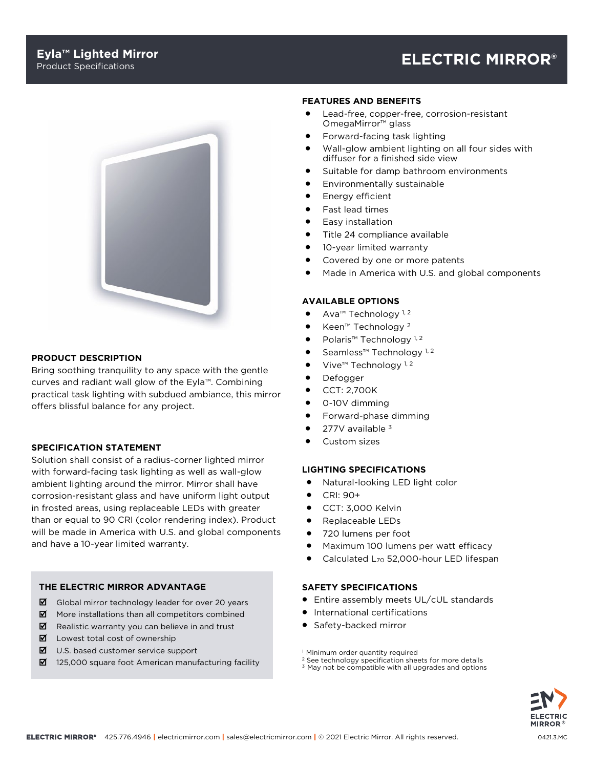# Product Specifications **ELECTRIC MIRROR®**



## **PRODUCT DESCRIPTION**

Bring soothing tranquility to any space with the gentle curves and radiant wall glow of the Eyla™. Combining practical task lighting with subdued ambiance, this mirror offers blissful balance for any project.

#### **SPECIFICATION STATEMENT**

Solution shall consist of a radius-corner lighted mirror with forward-facing task lighting as well as wall-glow ambient lighting around the mirror. Mirror shall have corrosion-resistant glass and have uniform light output in frosted areas, using replaceable LEDs with greater than or equal to 90 CRI (color rendering index). Product will be made in America with U.S. and global components and have a 10-year limited warranty.

#### **THE ELECTRIC MIRROR ADVANTAGE**

- $\boxtimes$  Global mirror technology leader for over 20 years
- $\boxtimes$  More installations than all competitors combined
- $\boxtimes$  Realistic warranty you can believe in and trust
- $\boxtimes$  Lowest total cost of ownership
- $\boxtimes$  U.S. based customer service support
- $\boxtimes$  125,000 square foot American manufacturing facility

#### **FEATURES AND BENEFITS**

- Lead-free, copper-free, corrosion-resistant OmegaMirror™ glass
- Forward-facing task lighting
- Wall-glow ambient lighting on all four sides with diffuser for a finished side view
- Suitable for damp bathroom environments
- Environmentally sustainable
- Energy efficient
- Fast lead times
- Easy installation
- Title 24 compliance available
- 10-year limited warranty
- Covered by one or more patents
- Made in America with U.S. and global components

#### **AVAILABLE OPTIONS**

- Ava<sup>™</sup> Technology<sup>1,2</sup>
- Keen™ Technology <sup>2</sup>
- Polaris<sup>™</sup> Technology<sup>1,2</sup>
- Seamless™ Technology<sup>1,2</sup>
- Vive<sup>™</sup> Technology<sup>1,2</sup>
- Defogger
- CCT: 2,700K
- 0-10V dimming
- Forward-phase dimming
- 277V available 3
- Custom sizes

#### **LIGHTING SPECIFICATIONS**

- Natural-looking LED light color
- CRI: 90+
- CCT: 3,000 Kelvin
- Replaceable LEDs
- 720 lumens per foot
- Maximum 100 lumens per watt efficacy
- Calculated L<sub>70</sub> 52,000-hour LED lifespan

# **SAFETY SPECIFICATIONS**

- Entire assembly meets UL/cUL standards
- International certifications
- Safety-backed mirror
- <sup>1</sup> Minimum order quantity required
- <sup>2</sup> See technology specification sheets for more details
- <sup>3</sup> May not be compatible with all upgrades and options